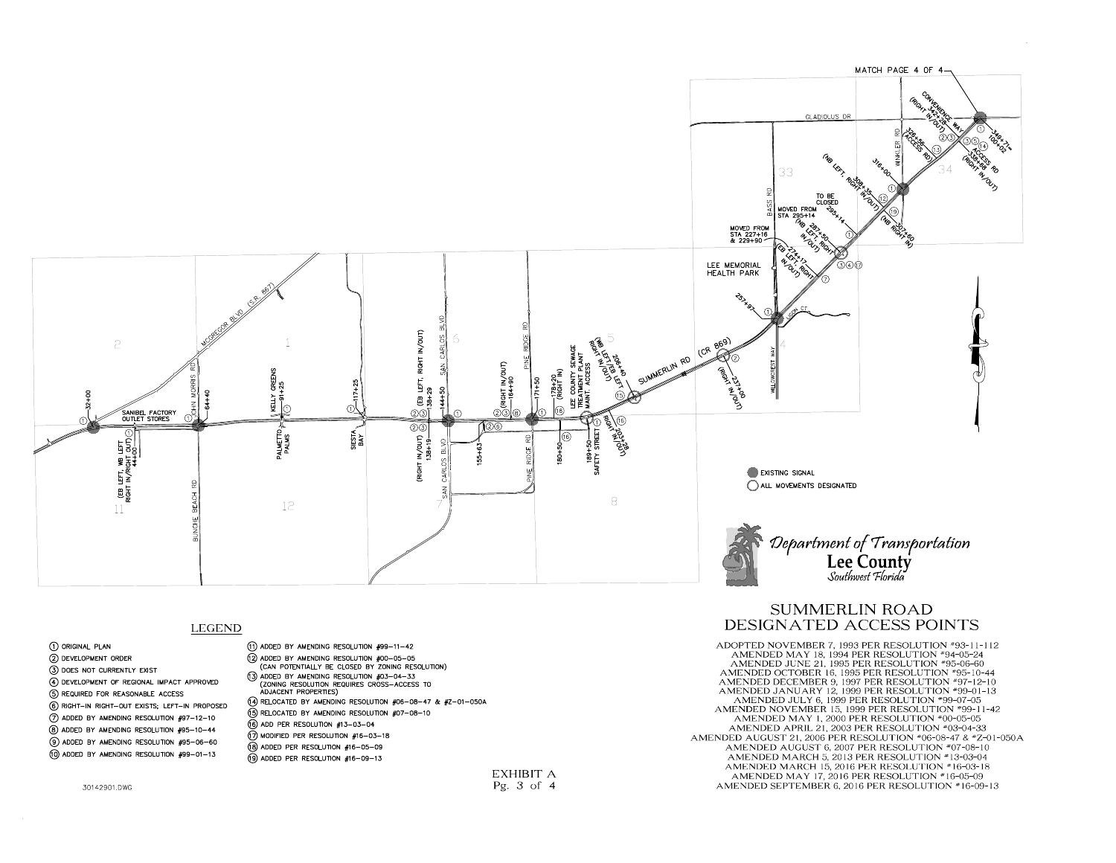

1 ORIGINAL PLAN (2) DEVELOPMENT ORDER (3) DOES NOT CURRENTLY EXIST (4) DEVELOPMENT OF REGIONAL IMPACT APPROVED (5) REQUIRED FOR REASONABLE ACCESS 6 RIGHT-IN RIGHT-OUT EXISTS; LEFT-IN PROPOSED 7) ADDED BY AMENDING RESOLUTION #97-12-10 8) ADDED BY AMENDING RESOLUTION #95-10-44  $(9)$  ADDED BY AMENDING RESOLUTION  $#95-06-60$ 10 ADDED BY AMENDING RESOLUTION #99-01-13

30142901.DWG

(1) ADDED BY AMENDING RESOLUTION #99-11-42 (12) ADDED BY AMENDING RESOLUTION #00-05-05 (CAN POTENTIALLY BE CLOSED BY ZONING RESOLUTION)  $(3)$  ADDED BY AMENDING RESOLUTION  $#03-04-33$ CONING RESOLUTION REQUIRES CROSS-ACCESS TO (14) RELOCATED BY AMENDING RESOLUTION #06-08-47 & #Z-01-050A (6) RELOCATED BY AMENDING RESOLUTION #07-08-10 (16) ADD PER RESOLUTION #13-03-04 18 MODIFIED PER RESOLUTION #16-03-18 (18) ADDED PER RESOLUTION #16-05-09

(9) ADDED PER RESOLUTION #16-09-13

EXHIBIT A Pg. 3 of 4

# SUMMERLIN ROAD LEGEND DESIGNATED ACCESS POINTS

ADOPTED NOVEMBER 7, 1993 PER RESOLUTION #93-11-112 AMENDED MAY 18, 1994 PER RESOLUTION #94-05-24 AMENDED JUNE 21, 1995 PER RESOLUTION #95-06-60 AMENDED OCTOBER 16, 1995 PER RESOLUTION #95-10-44 AMENDED DECEMBER 9, 1997 PER RESOLUTION #97-12-10 AMENDED JANUARY 12, 1999 PER RESOLUTION #99-01-13 AMENDED JULY 6, 1999 PER RESOLUTION #99-07-05 AMENDED NOVEMBER 15, 1999 PER RESOLUTION #99-11-42 AMENDED MAY 1, 2000 PER RESOLUTION #00-05-05 AMENDED APRIL 21, 2003 PER RESOLUTION #03-04-33 AMENDED AUGUST 21, 2006 PER RESOLUTION #06-08-47 & #Z-01-050A AMENDED AUGUST 6, 2007 PER RESOLUTION #07-08-10 AMENDED MARCH 5, 2013 PER RESOLUTION #13-03-04 AMENDED MARCH 15, 2016 PER RESOLUTION #16-03-18 AMENDED MAY 17, 2016 PER RESOLUTION #16-05-09 AMENDED SEPTEMBER 6, 2016 PER RESOLUTION #16-09-13